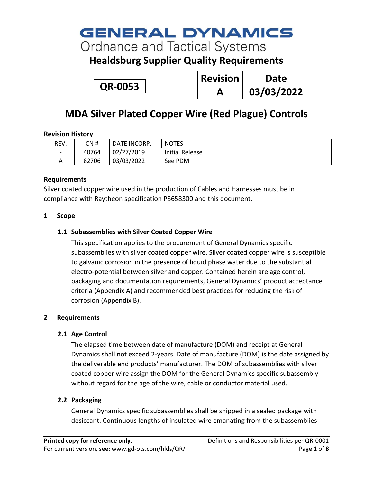# **GENERAL DYNAMICS**

**Ordnance and Tactical Systems** 

**Healdsburg Supplier Quality Requirements**

<span id="page-0-0"></span>**QR-0053**

| <b>Revision</b> | Date       |
|-----------------|------------|
|                 | 03/03/2022 |

# **MDA Silver Plated Copper Wire (Red Plague) Controls**

### **Revision History**

| REV.                     | CN #  | DATE INCORP. | <b>NOTES</b>           |
|--------------------------|-------|--------------|------------------------|
| $\overline{\phantom{a}}$ | 40764 | 02/27/2019   | <b>Initial Release</b> |
| A                        | 82706 | 03/03/2022   | See PDM                |

### **Requirements**

Silver coated copper wire used in the production of Cables and Harnesses must be in compliance with Raytheon specification P8658300 and this document.

### **1 Scope**

### **1.1 Subassemblies with Silver Coated Copper Wire**

This specification applies to the procurement of General Dynamics specific subassemblies with silver coated copper wire. Silver coated copper wire is susceptible to galvanic corrosion in the presence of liquid phase water due to the substantial electro-potential between silver and copper. Contained herein are age control, packaging and documentation requirements, General Dynamics' product acceptance criteria (Appendix A) and recommended best practices for reducing the risk of corrosion (Appendix B).

### **2 Requirements**

### **2.1 Age Control**

The elapsed time between date of manufacture (DOM) and receipt at General Dynamics shall not exceed 2-years. Date of manufacture (DOM) is the date assigned by the deliverable end products' manufacturer. The DOM of subassemblies with silver coated copper wire assign the DOM for the General Dynamics specific subassembly without regard for the age of the wire, cable or conductor material used.

### **2.2 Packaging**

General Dynamics specific subassemblies shall be shipped in a sealed package with desiccant. Continuous lengths of insulated wire emanating from the subassemblies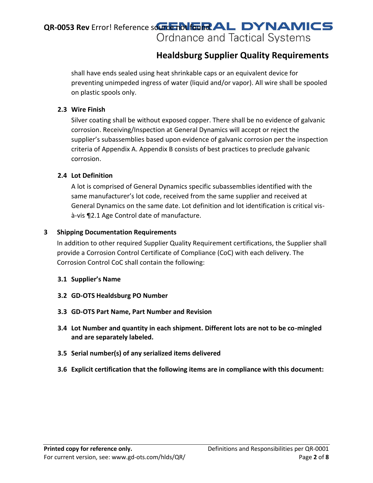# **Healdsburg Supplier Quality Requirements**

shall have ends sealed using heat shrinkable caps or an equivalent device for preventing unimpeded ingress of water (liquid and/or vapor). All wire shall be spooled on plastic spools only.

### **2.3 Wire Finish**

Silver coating shall be without exposed copper. There shall be no evidence of galvanic corrosion. Receiving/Inspection at General Dynamics will accept or reject the supplier's subassemblies based upon evidence of galvanic corrosion per the inspection criteria of Appendix A. Appendix B consists of best practices to preclude galvanic corrosion.

### **2.4 Lot Definition**

A lot is comprised of General Dynamics specific subassemblies identified with the same manufacturer's lot code, received from the same supplier and received at General Dynamics on the same date. Lot definition and lot identification is critical visà-vis ¶2.1 Age Control date of manufacture.

### **3 Shipping Documentation Requirements**

In addition to other required Supplier Quality Requirement certifications, the Supplier shall provide a Corrosion Control Certificate of Compliance (CoC) with each delivery. The Corrosion Control CoC shall contain the following:

### **3.1 Supplier's Name**

- **3.2 GD-OTS Healdsburg PO Number**
- **3.3 GD-OTS Part Name, Part Number and Revision**
- **3.4 Lot Number and quantity in each shipment. Different lots are not to be co-mingled and are separately labeled.**
- **3.5 Serial number(s) of any serialized items delivered**
- **3.6 Explicit certification that the following items are in compliance with this document:**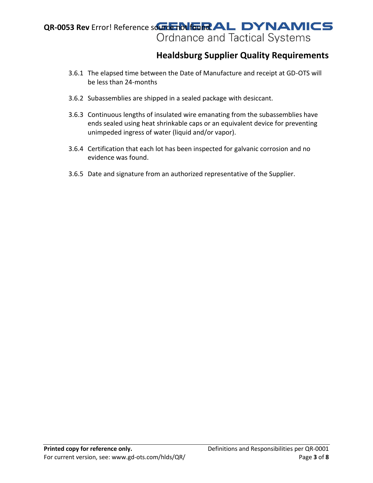# **Healdsburg Supplier Quality Requirements**

- 3.6.1 The elapsed time between the Date of Manufacture and receipt at GD-OTS will be less than 24-months
- 3.6.2 Subassemblies are shipped in a sealed package with desiccant.
- 3.6.3 Continuous lengths of insulated wire emanating from the subassemblies have ends sealed using heat shrinkable caps or an equivalent device for preventing unimpeded ingress of water (liquid and/or vapor).
- 3.6.4 Certification that each lot has been inspected for galvanic corrosion and no evidence was found.
- 3.6.5 Date and signature from an authorized representative of the Supplier.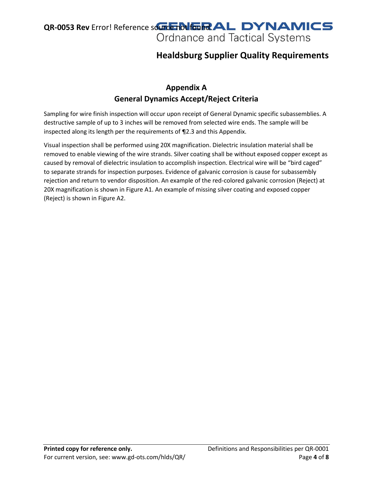# **Healdsburg Supplier Quality Requirements**

### **Appendix A General Dynamics Accept/Reject Criteria**

Sampling for wire finish inspection will occur upon receipt of General Dynamic specific subassemblies. A destructive sample of up to 3 inches will be removed from selected wire ends. The sample will be inspected along its length per the requirements of ¶2.3 and this Appendix.

Visual inspection shall be performed using 20X magnification. Dielectric insulation material shall be removed to enable viewing of the wire strands. Silver coating shall be without exposed copper except as caused by removal of dielectric insulation to accomplish inspection. Electrical wire will be "bird caged" to separate strands for inspection purposes. Evidence of galvanic corrosion is cause for subassembly rejection and return to vendor disposition. An example of the red-colored galvanic corrosion (Reject) at 20X magnification is shown in Figure A1. An example of missing silver coating and exposed copper (Reject) is shown in Figure A2.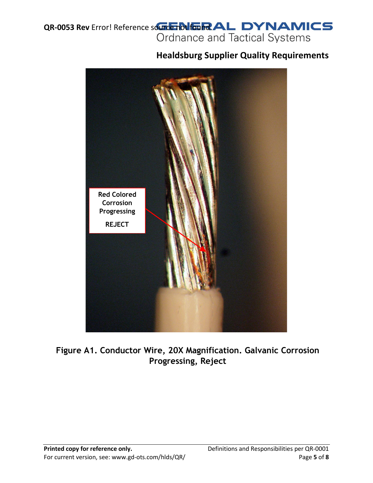# **Healdsburg Supplier Quality Requirements**



**Figure A1. Conductor Wire, 20X Magnification. Galvanic Corrosion Progressing, Reject**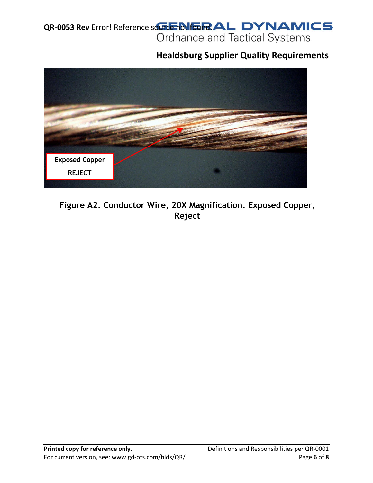# **Healdsburg Supplier Quality Requirements**



# **Figure A2. Conductor Wire, 20X Magnification. Exposed Copper, Reject**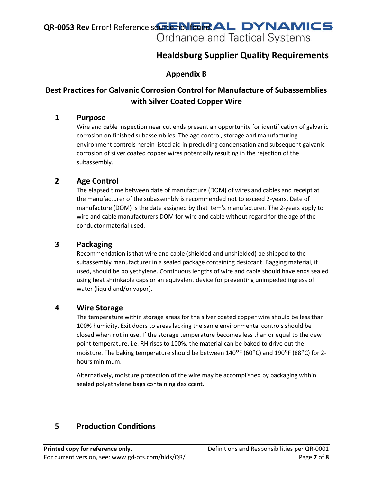# **Healdsburg Supplier Quality Requirements**

### **Appendix B**

### **Best Practices for Galvanic Corrosion Control for Manufacture of Subassemblies with Silver Coated Copper Wire**

### **1 Purpose**

Wire and cable inspection near cut ends present an opportunity for identification of galvanic corrosion on finished subassemblies. The age control, storage and manufacturing environment controls herein listed aid in precluding condensation and subsequent galvanic corrosion of silver coated copper wires potentially resulting in the rejection of the subassembly.

### **2 Age Control**

The elapsed time between date of manufacture (DOM) of wires and cables and receipt at the manufacturer of the subassembly is recommended not to exceed 2-years. Date of manufacture (DOM) is the date assigned by that item's manufacturer. The 2-years apply to wire and cable manufacturers DOM for wire and cable without regard for the age of the conductor material used.

### **3 Packaging**

Recommendation is that wire and cable (shielded and unshielded) be shipped to the subassembly manufacturer in a sealed package containing desiccant. Bagging material, if used, should be polyethylene. Continuous lengths of wire and cable should have ends sealed using heat shrinkable caps or an equivalent device for preventing unimpeded ingress of water (liquid and/or vapor).

### **4 Wire Storage**

The temperature within storage areas for the silver coated copper wire should be less than 100% humidity. Exit doors to areas lacking the same environmental controls should be closed when not in use. If the storage temperature becomes less than or equal to the dew point temperature, i.e. RH rises to 100%, the material can be baked to drive out the moisture. The baking temperature should be between 140°F (60°C) and 190°F (88°C) for 2hours minimum.

Alternatively, moisture protection of the wire may be accomplished by packaging within sealed polyethylene bags containing desiccant.

### **5 Production Conditions**